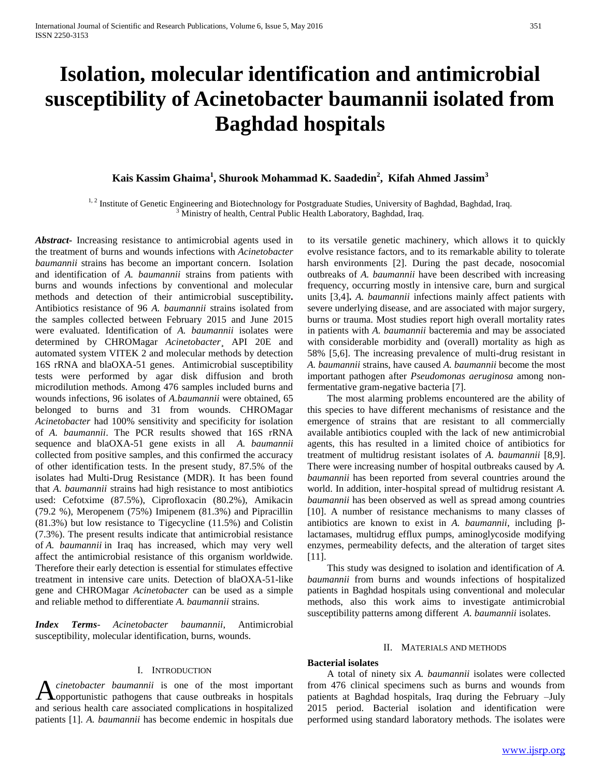# **Isolation, molecular identification and antimicrobial susceptibility of Acinetobacter baumannii isolated from Baghdad hospitals**

## **Kais Kassim Ghaima<sup>1</sup> , Shurook Mohammad K. Saadedin<sup>2</sup> , Kifah Ahmed Jassim<sup>3</sup>**

<sup>1, 2</sup> Institute of Genetic Engineering and Biotechnology for Postgraduate Studies, University of Baghdad, Baghdad, Iraq. <sup>3</sup> Ministry of health, Central Public Health Laboratory, Baghdad, Iraq.

*Abstract***-** Increasing resistance to antimicrobial agents used in the treatment of burns and wounds infections with *Acinetobacter baumannii* strains has become an important concern.Isolation and identification of *A. baumannii* strains from patients with burns and wounds infections by conventional and molecular methods and detection of their antimicrobial susceptibility**.**  Antibiotics resistance of 96 *A. baumannii* strains isolated from the samples collected between February 2015 and June 2015 were evaluated. Identification of *A. baumannii* isolates were determined by CHROMagar *Acinetobacter*¸ API 20E and automated system VITEK 2 and molecular methods by detection 16S rRNA and blaOXA-51 genes. Antimicrobial susceptibility tests were performed by agar disk diffusion and broth microdilution methods. Among 476 samples included burns and wounds infections, 96 isolates of *A.baumannii* were obtained, 65 belonged to burns and 31 from wounds. CHROMagar *Acinetobacter* had 100% sensitivity and specificity for isolation of *A. baumannii*. The PCR results showed that 16S rRNA sequence and blaOXA-51 gene exists in all *A. baumannii*  collected from positive samples, and this confirmed the accuracy of other identification tests. In the present study, 87.5% of the isolates had Multi-Drug Resistance (MDR). It has been found that *A. baumannii* strains had high resistance to most antibiotics used: Cefotxime (87.5%), Ciprofloxacin (80.2%), Amikacin (79.2 %), Meropenem (75%) Imipenem (81.3%) and Pipracillin (81.3%) but low resistance to Tigecycline (11.5%) and Colistin (7.3%). The present results indicate that antimicrobial resistance of *A. baumannii* in Iraq has increased, which may very well affect the antimicrobial resistance of this organism worldwide. Therefore their early detection is essential for stimulates effective treatment in intensive care units. Detection of blaOXA-51-like gene and CHROMagar *Acinetobacter* can be used as a simple and reliable method to differentiate *A. baumannii* strains.

*Index Terms*- *Acinetobacter baumannii*, Antimicrobial susceptibility, molecular identification, burns, wounds.

#### I. INTRODUCTION

*cinetobacter baumannii* is one of the most important **A** *cinetobacter baumannii* is one of the most important opportunistic pathogens that cause outbreaks in hospitals and serious health care associated complications in hospitalized patients [1]. *A. baumannii* has become endemic in hospitals due

to its versatile genetic machinery, which allows it to quickly evolve resistance factors, and to its remarkable ability to tolerate harsh environments [2]. During the past decade, nosocomial outbreaks of *A. baumannii* have been described with increasing frequency, occurring mostly in intensive care, burn and surgical units [3,4]**.** *A. baumannii* infections mainly affect patients with severe underlying disease, and are associated with major surgery, burns or trauma. Most studies report high overall mortality rates in patients with *A. baumannii* bacteremia and may be associated with considerable morbidity and (overall) mortality as high as 58% [5,6]. The increasing prevalence of multi-drug resistant in *A. baumannii* strains, have caused *A. baumannii* become the most important pathogen after *Pseudomonas aeruginosa* among nonfermentative gram-negative bacteria [7].

 The most alarming problems encountered are the ability of this species to have different mechanisms of resistance and the emergence of strains that are resistant to all commercially available antibiotics coupled with the lack of new antimicrobial agents, this has resulted in a limited choice of antibiotics for treatment of multidrug resistant isolates of *A. baumannii* [8,9]. There were increasing number of hospital outbreaks caused by *A. baumannii* has been reported from several countries around the world. In addition, inter-hospital spread of multidrug resistant *A. baumannii* has been observed as well as spread among countries [10]. A number of resistance mechanisms to many classes of antibiotics are known to exist in *A. baumannii*, including βlactamases, multidrug efflux pumps, aminoglycoside modifying enzymes, permeability defects, and the alteration of target sites [11].

 This study was designed to isolation and identification of *A. baumannii* from burns and wounds infections of hospitalized patients in Baghdad hospitals using conventional and molecular methods, also this work aims to investigate antimicrobial susceptibility patterns among different *A. baumannii* isolates.

#### II. MATERIALS AND METHODS

### **Bacterial isolates**

 A total of ninety six *A. baumannii* isolates were collected from 476 clinical specimens such as burns and wounds from patients at Baghdad hospitals, Iraq during the February –July 2015 period. Bacterial isolation and identification were performed using standard laboratory methods. The isolates were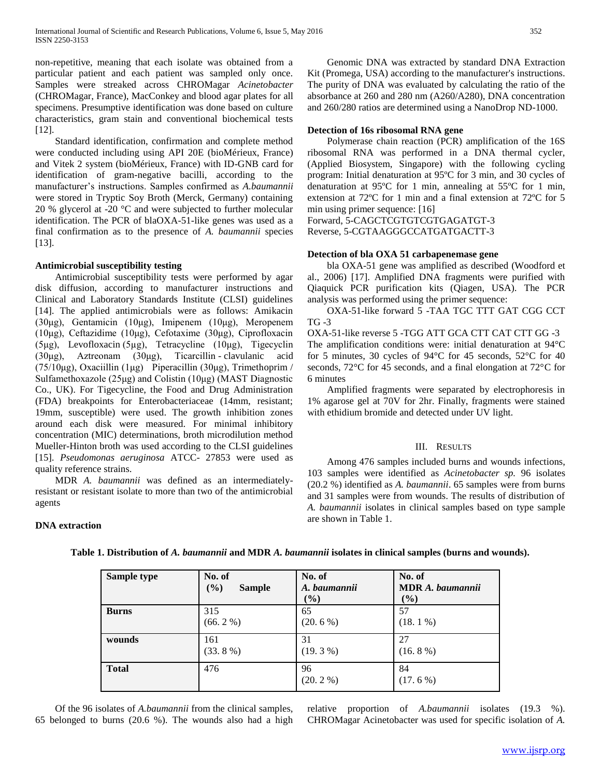non-repetitive, meaning that each isolate was obtained from a particular patient and each patient was sampled only once. Samples were streaked across CHROMagar *Acinetobacter* (CHROMagar, France), MacConkey and blood agar plates for all specimens. Presumptive identification was done based on culture characteristics, gram stain and conventional biochemical tests [12].

 Standard identification, confirmation and complete method were conducted including using API 20E (bioMérieux, France) and Vitek 2 system (bioMérieux, France) with ID-GNB card for identification of gram-negative bacilli, according to the manufacturer's instructions. Samples confirmed as *A.baumannii*  were stored in Tryptic Soy Broth (Merck, Germany) containing 20 % glycerol at -20 °C and were subjected to further molecular identification. The PCR of blaOXA-51-like genes was used as a final confirmation as to the presence of *A. baumannii* species [13].

#### **Antimicrobial susceptibility testing**

 Antimicrobial susceptibility tests were performed by agar disk diffusion, according to manufacturer instructions and Clinical and Laboratory Standards Institute (CLSI) guidelines [14]. The applied antimicrobials were as follows: Amikacin (30μg), Gentamicin (10μg), Imipenem (10μg), Meropenem (10μg), Ceftazidime (10μg), Cefotaxime (30μg), Ciprofloxacin (5μg), Levofloxacin (5µg), Tetracycline (10μg), Tigecyclin (30μg), Aztreonam (30μg), Ticarcillin - clavulanic acid (75/10μg), Oxaciillin (1μg) Piperacillin (30μg), Trimethoprim / Sulfamethoxazole (25μg) and Colistin (10μg) (MAST Diagnostic Co., UK). For Tigecycline, the Food and Drug Administration (FDA) breakpoints for Enterobacteriaceae (14mm, resistant; 19mm, susceptible) were used. The growth inhibition zones around each disk were measured. For minimal inhibitory concentration (MIC) determinations, broth microdilution method Mueller-Hinton broth was used according to the CLSI guidelines [15]. *Pseudomonas aeruginosa* ATCC- 27853 were used as quality reference strains.

 MDR *A. baumannii* was defined as an intermediatelyresistant or resistant isolate to more than two of the antimicrobial agents

 Genomic DNA was extracted by standard DNA Extraction Kit (Promega, USA) according to the manufacturer's instructions. The purity of DNA was evaluated by calculating the ratio of the absorbance at 260 and 280 nm (A260/A280), DNA concentration and 260/280 ratios are determined using a NanoDrop ND-1000.

#### **Detection of 16s ribosomal RNA gene**

 Polymerase chain reaction (PCR) amplification of the 16S ribosomal RNA was performed in a DNA thermal cycler, (Applied Biosystem, Singapore) with the following cycling program: Initial denaturation at 95ºC for 3 min, and 30 cycles of denaturation at 95ºC for 1 min, annealing at 55ºC for 1 min, extension at 72ºC for 1 min and a final extension at 72ºC for 5 min using primer sequence: [16]

Forward, 5-CAGCTCGTGTCGTGAGATGT-3 Reverse, 5-CGTAAGGGCCATGATGACTT-3

#### **Detection of bla OXA 51 carbapenemase gene**

 bla OXA-51 gene was amplified as described (Woodford et al., 2006) [17]. Amplified DNA fragments were purified with Qiaquick PCR purification kits (Qiagen, USA). The PCR analysis was performed using the primer sequence:

 OXA-51-like forward 5 -TAA TGC TTT GAT CGG CCT TG -3

OXA-51-like reverse 5 -TGG ATT GCA CTT CAT CTT GG -3 The amplification conditions were: initial denaturation at 94°C for 5 minutes, 30 cycles of 94°C for 45 seconds, 52°C for 40 seconds, 72°C for 45 seconds, and a final elongation at 72°C for 6 minutes

 Amplified fragments were separated by electrophoresis in 1% agarose gel at 70V for 2hr. Finally, fragments were stained with ethidium bromide and detected under UV light.

#### III. RESULTS

 Among 476 samples included burns and wounds infections, 103 samples were identified as *Acinetobacter sp.* 96 isolates (20.2 %) identified as *A. baumannii*. 65 samples were from burns and 31 samples were from wounds. The results of distribution of *A. baumannii* isolates in clinical samples based on type sample are shown in Table 1.

#### **DNA extraction**

| Sample type  | No. of        | No. of           | No. of                  |
|--------------|---------------|------------------|-------------------------|
|              | (%)           | A. baumannii     | <b>MDR</b> A. baumannii |
|              | <b>Sample</b> | $(\%)$           | $(\%)$                  |
| <b>Burns</b> | 315           | 65               | 57                      |
|              | $(66.2\%)$    | $(20.6\%)$       | $(18.1\%)$              |
| wounds       | 161           | 31               | 27                      |
|              | $(33.8\%)$    | $(19.3\%)$       | $(16.8\%)$              |
| <b>Total</b> | 476           | 96<br>$(20.2\%)$ | 84<br>$(17.6\%)$        |

**Table 1. Distribution of** *A. baumannii* **and MDR** *A. baumannii* **isolates in clinical samples (burns and wounds).**

 Of the 96 isolates of *A.baumannii* from the clinical samples, 65 belonged to burns (20.6 %). The wounds also had a high

relative proportion of *A.baumannii* isolates (19.3 %). CHROMagar Acinetobacter was used for specific isolation of *A.*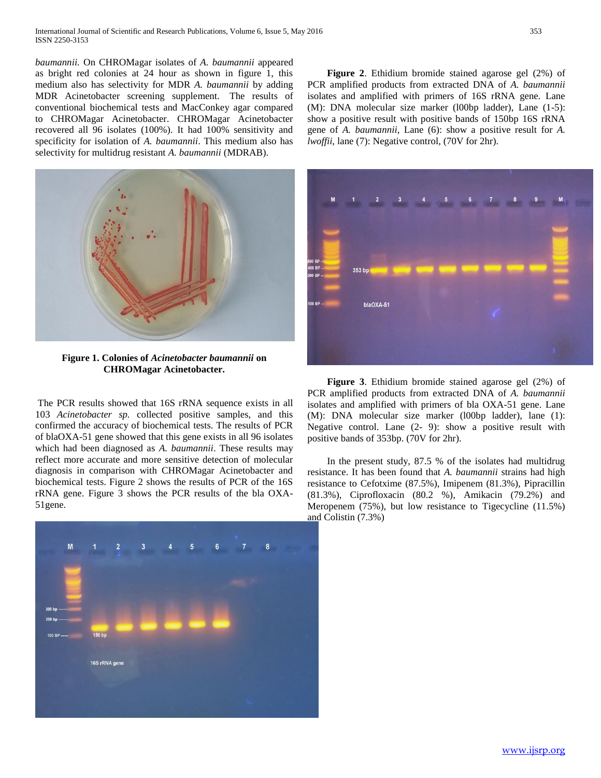*baumannii.* On CHROMagar isolates of *A. baumannii* appeared as bright red colonies at 24 hour as shown in figure 1, this medium also has selectivity for MDR *A. baumannii* by adding MDR Acinetobacter screening supplement. The results of conventional biochemical tests and MacConkey agar compared to CHROMagar Acinetobacter. CHROMagar Acinetobacter recovered all 96 isolates (100%). It had 100% sensitivity and specificity for isolation of *A. baumannii*. This medium also has selectivity for multidrug resistant *A. baumannii* (MDRAB).



**Figure 1. Colonies of** *Acinetobacter baumannii* **on CHROMagar Acinetobacter.**

The PCR results showed that 16S rRNA sequence exists in all 103 *Acinetobacter sp.* collected positive samples, and this confirmed the accuracy of biochemical tests. The results of PCR of blaOXA-51 gene showed that this gene exists in all 96 isolates which had been diagnosed as *A. baumannii*. These results may reflect more accurate and more sensitive detection of molecular diagnosis in comparison with CHROMagar Acinetobacter and biochemical tests. Figure 2 shows the results of PCR of the 16S rRNA gene. Figure 3 shows the PCR results of the bla OXA-51gene.



 **Figure 2**. Ethidium bromide stained agarose gel (2%) of PCR amplified products from extracted DNA of *A. baumannii*  isolates and amplified with primers of 16S rRNA gene. Lane (M): DNA molecular size marker (l00bp ladder), Lane (1-5): show a positive result with positive bands of 150bp 16S rRNA gene of *A. baumannii*, Lane (6): show a positive result for *A. lwoffii*, lane (7): Negative control, (70V for 2hr).



 **Figure 3**. Ethidium bromide stained agarose gel (2%) of PCR amplified products from extracted DNA of *A. baumannii*  isolates and amplified with primers of bla OXA-51 gene. Lane (M): DNA molecular size marker (l00bp ladder), lane (1): Negative control. Lane (2- 9): show a positive result with positive bands of 353bp. (70V for 2hr).

 In the present study, 87.5 % of the isolates had multidrug resistance. It has been found that *A. baumannii* strains had high resistance to Cefotxime (87.5%), Imipenem (81.3%), Pipracillin (81.3%), Ciprofloxacin (80.2 %), Amikacin (79.2%) and Meropenem (75%), but low resistance to Tigecycline (11.5%) and Colistin (7.3%)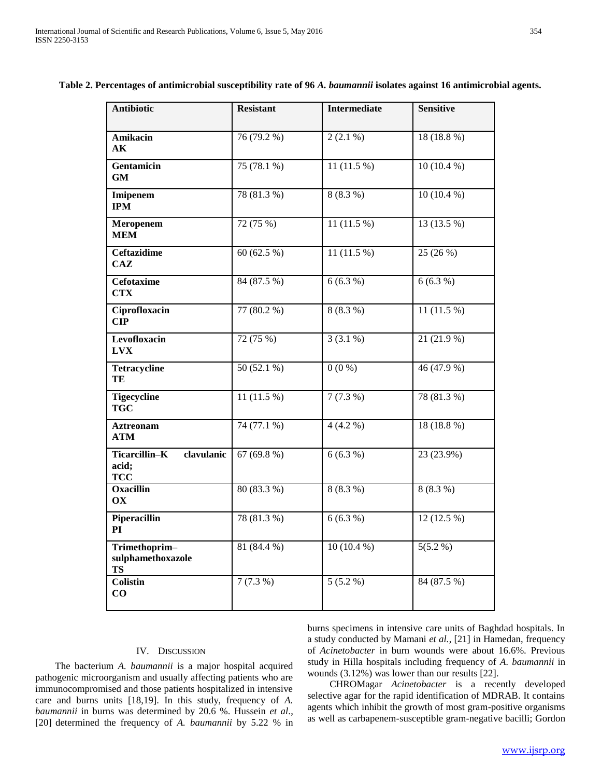| <b>Antibiotic</b>                                  | <b>Resistant</b> | <b>Intermediate</b> | <b>Sensitive</b> |
|----------------------------------------------------|------------------|---------------------|------------------|
| Amikacin<br>AК                                     | 76 (79.2 %)      | $2(2.1\%)$          | 18 (18.8 %)      |
| Gentamicin<br><b>GM</b>                            | 75 (78.1 %)      | 11 $(11.5%)$        | $10(10.4\%)$     |
| Imipenem<br><b>IPM</b>                             | 78 (81.3 %)      | $8(8.3\%)$          | $10(10.4\%)$     |
| Meropenem<br>MEM                                   | 72 (75 %)        | 11 $(11.5%)$        | 13 (13.5 %)      |
| <b>Ceftazidime</b><br>CAZ                          | 60 (62.5 %)      | 11 $(11.5%)$        | 25 (26 %)        |
| <b>Cefotaxime</b><br><b>CTX</b>                    | 84 (87.5 %)      | 6(6.3%)             | $6(6.3\%)$       |
| Ciprofloxacin<br>CIP                               | 77 (80.2 %)      | $8(8.3\%)$          | 11 $(11.5%)$     |
| Levofloxacin<br><b>LVX</b>                         | 72(75%)          | $3(3.1\%)$          | 21(21.9%)        |
| <b>Tetracycline</b><br>TE                          | $50(52.1\%)$     | $0(0\%)$            | 46(47.9%)        |
| <b>Tigecycline</b><br><b>TGC</b>                   | 11 $(11.5%)$     | 7(7.3%)             | 78 (81.3 %)      |
| <b>Aztreonam</b><br><b>ATM</b>                     | $74(77.1\%)$     | $4(4.2\%)$          | 18(18.8%)        |
| clavulanic<br>Ticarcillin-K<br>acid;<br><b>TCC</b> | 67 (69.8 %)      | 6(6.3%)             | 23 (23.9%)       |
| <b>Oxacillin</b><br>OX                             | 80 (83.3 %)      | $8(8.3\%)$          | $8(8.3\%)$       |
| Piperacillin<br>PI                                 | 78 (81.3 %)      | $6(6.3\%)$          | $12(12.5\%)$     |
| Trimethoprim-<br>sulphamethoxazole<br><b>TS</b>    | 81 (84.4 %)      | $10(10.4\%)$        | $5(5.2\%)$       |
| <b>Colistin</b><br>$\bf CO$                        | 7(7.3%)          | $5(5.2\%)$          | 84 (87.5 %)      |

#### **Table 2. Percentages of antimicrobial susceptibility rate of 96** *A. baumannii* **isolates against 16 antimicrobial agents.**

#### IV. DISCUSSION

 The bacterium *A. baumannii* is a major hospital acquired pathogenic microorganism and usually affecting patients who are immunocompromised and those patients hospitalized in intensive care and burns units [18,19]. In this study, frequency of *A. baumannii* in burns was determined by 20.6 %. Hussein *et al*., [20] determined the frequency of *A. baumannii* by 5.22 % in

burns specimens in intensive care units of Baghdad hospitals. In a study conducted by Mamani *et al.*, [21] in Hamedan, frequency of *Acinetobacter* in burn wounds were about 16.6%. Previous study in Hilla hospitals including frequency of *A. baumannii* in wounds (3.12%) was lower than our results [22].

 CHROMagar *Acinetobacter* is a recently developed selective agar for the rapid identification of MDRAB. It contains agents which inhibit the growth of most gram-positive organisms as well as carbapenem-susceptible gram-negative bacilli; Gordon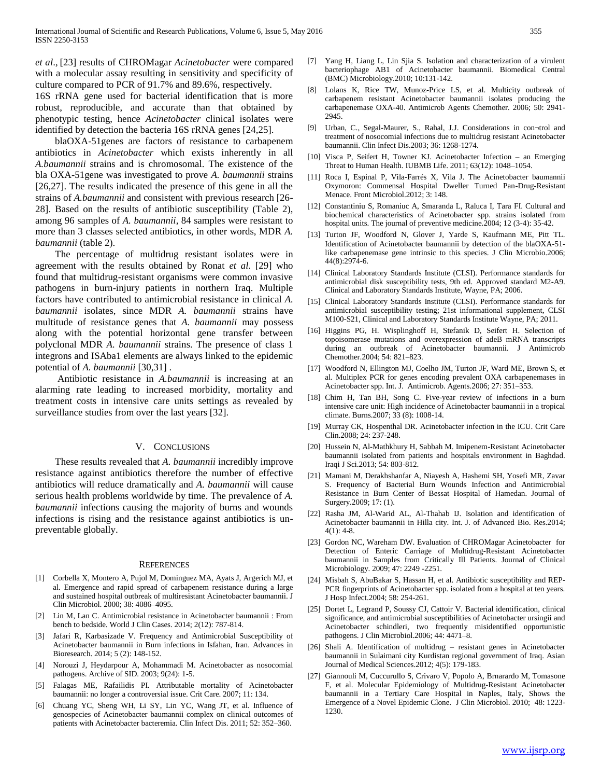*et al*., [23] results of CHROMagar *Acinetobacter* were compared with a molecular assay resulting in sensitivity and specificity of culture compared to PCR of 91.7% and 89.6%, respectively.

16S rRNA gene used for bacterial identification that is more robust, reproducible, and accurate than that obtained by phenotypic testing, hence *Acinetobacter* clinical isolates were identified by detection the bacteria 16S rRNA genes [24,25].

 blaOXA-51genes are factors of resistance to carbapenem antibiotics in *Acinetobacter* which exists inherently in all *A.baumannii* strains and is chromosomal. The existence of the bla OXA-51gene was investigated to prove *A. baumannii* strains [26,27]. The results indicated the presence of this gene in all the strains of *A.baumannii* and consistent with previous research [26- 28]. Based on the results of antibiotic susceptibility (Table 2), among 96 samples of *A. baumannii*, 84 samples were resistant to more than 3 classes selected antibiotics, in other words, MDR *A. baumannii* (table 2).

 The percentage of multidrug resistant isolates were in agreement with the results obtained by Ronat *et al*. [29] who found that multidrug-resistant organisms were common invasive pathogens in burn-injury patients in northern Iraq. Multiple factors have contributed to antimicrobial resistance in clinical *A. baumannii* isolates, since MDR *A. baumannii* strains have multitude of resistance genes that *A. baumannii* may possess along with the potential horizontal gene transfer between polyclonal MDR *A. baumannii* strains. The presence of class 1 integrons and ISAba1 elements are always linked to the epidemic potential of *A. baumannii* [30,31] .

 Antibiotic resistance in *A.baumannii* is increasing at an alarming rate leading to increased morbidity, mortality and treatment costs in intensive care units settings as revealed by surveillance studies from over the last years [32].

#### V. CONCLUSIONS

 These results revealed that *A. baumannii* incredibly improve resistance against antibiotics therefore the number of effective antibiotics will reduce dramatically and *A. baumannii* will cause serious health problems worldwide by time. The prevalence of *A. baumannii* infections causing the majority of burns and wounds infections is rising and the resistance against antibiotics is unpreventable globally.

#### **REFERENCES**

- [1] Corbella X, Montero A, Pujol M, Dominguez MA, Ayats J, Argerich MJ, et al. Emergence and rapid spread of carbapenem resistance during a large and sustained hospital outbreak of multiresistant Acinetobacter baumannii. J Clin Microbiol. 2000; 38: 4086–4095.
- [2] Lin M, Lan C. Antimicrobial resistance in Acinetobacter baumannii : From bench to bedside. World J Clin Cases. 2014; 2(12): 787-814.
- [3] Jafari R, Karbasizade V. Frequency and Antimicrobial Susceptibility of Acinetobacter baumannii in Burn infections in Isfahan, Iran. Advances in Bioresearch. 2014; 5 (2): 148-152.
- [4] Norouzi J, Heydarpour A, Mohammadi M. Acinetobacter as nosocomial pathogens. Archive of SID. 2003; 9(24): 1-5.
- [5] Falagas ME, Rafailidis PI. Attributable mortality of Acinetobacter baumannii: no longer a controversial issue. Crit Care. 2007; 11: 134.
- [6] Chuang YC, Sheng WH, Li SY, Lin YC, Wang JT, et al. Influence of genospecies of Acinetobacter baumannii complex on clinical outcomes of patients with Acinetobacter bacteremia. Clin Infect Dis. 2011; 52: 352–360.
- [7] Yang H, Liang L, Lin Sjia S. Isolation and characterization of a virulent bacteriophage AB1 of Acinetobacter baumannii. Biomedical Central (BMC) Microbiology.2010; 10:131-142.
- Lolans K, Rice TW, Munoz-Price LS, et al. Multicity outbreak of carbapenem resistant Acinetobacter baumannii isolates producing the carbapenemase OXA-40. Antimicrob Agents Chemother. 2006; 50: 2941- 2945.
- [9] Urban, C., Segal-Maurer, S., Rahal, J.J. Considerations in con¬trol and treatment of nosocomial infections due to multidrug resistant Acinetobacter baumannii. Clin Infect Dis.2003; 36: 1268-1274.
- [10] Visca P, Seifert H, Towner KJ. Acinetobacter Infection an Emerging Threat to Human Health. IUBMB Life. 2011; 63(12): 1048–1054.
- [11] Roca I, Espinal P, Vila-Farrés X, Vila J. The Acinetobacter baumannii Oxymoron: Commensal Hospital Dweller Turned Pan-Drug-Resistant Menace. Front Microbiol.2012; 3: 148.
- [12] Constantiniu S, Romaniuc A, Smaranda L, Raluca I, Tara FI. Cultural and biochemical characteristics of Acinetobacter spp. strains isolated from hospital units. The journal of preventive medicine.2004; 12 (3-4): 35-42.
- [13] Turton JF, Woodford N, Glover J, Yarde S, Kaufmann ME, Pitt TL. Identification of Acinetobacter baumannii by detection of the blaOXA-51 like carbapenemase gene intrinsic to this species. J Clin Microbio.2006; 44(8):2974-6.
- [14] Clinical Laboratory Standards Institute (CLSI). Performance standards for antimicrobial disk susceptibility tests, 9th ed. Approved standard M2-A9. Clinical and Laboratory Standards Institute, Wayne, PA; 2006.
- [15] Clinical Laboratory Standards Institute (CLSI). Performance standards for antimicrobial susceptibility testing; 21st informational supplement, CLSI M100-S21, Clinical and Laboratory Standards Institute Wayne, PA; 2011.
- [16] Higgins PG, H. Wisplinghoff H, Stefanik D, Seifert H. Selection of topoisomerase mutations and overexpression of adeB mRNA transcripts during an outbreak of Acinetobacter baumannii. J Antimicrob Chemother.2004; 54: 821–823.
- [17] Woodford N, Ellington MJ, Coelho JM, Turton JF, Ward ME, Brown S, et al. Multiplex PCR for genes encoding prevalent OXA carbapenemases in Acinetobacter spp. Int. J. Antimicrob. Agents.2006; 27: 351–353.
- [18] Chim H, Tan BH, Song C. Five-year review of infections in a burn intensive care unit: High incidence of Acinetobacter baumannii in a tropical climate. Burns.2007; 33 (8): 1008-14.
- [19] Murray CK, Hospenthal DR. Acinetobacter infection in the ICU. Crit Care Clin.2008; 24: 237-248.
- [20] Hussein N, Al-Mathkhury H, Sabbah M. Imipenem-Resistant Acinetobacter baumannii isolated from patients and hospitals environment in Baghdad. Iraqi J Sci.2013; 54: 803-812.
- [21] Mamani M, Derakhshanfar A, Niayesh A, Hashemi SH, Yosefi MR, Zavar S. Frequency of Bacterial Burn Wounds Infection and Antimicrobial Resistance in Burn Center of Bessat Hospital of Hamedan. Journal of Surgery.2009; 17: (1).
- [22] Rasha JM, Al-Warid AL, Al-Thahab IJ. Isolation and identification of Acinetobacter baumannii in Hilla city. Int. J. of Advanced Bio. Res.2014;  $4(1): 4-8.$
- [23] Gordon NC, Wareham DW. Evaluation of CHROMagar Acinetobacter for Detection of Enteric Carriage of Multidrug-Resistant Acinetobacter baumannii in Samples from Critically Ill Patients. Journal of Clinical Microbiology. 2009; 47: 2249 -2251.
- [24] Misbah S, AbuBakar S, Hassan H, et al. Antibiotic susceptibility and REP-PCR fingerprints of Acinetobacter spp. isolated from a hospital at ten years. J Hosp Infect.2004; 58: 254-261.
- [25] Dortet L, Legrand P, Soussy CJ, Cattoir V. Bacterial identification, clinical significance, and antimicrobial susceptibilities of Acinetobacter ursingii and Acinetobacter schindleri, two frequently misidentified opportunistic pathogens. J Clin Microbiol.2006; 44: 4471–8.
- [26] Shali A. Identification of multidrug resistant genes in Acinetobacter baumannii in Sulaimani city Kurdistan regional government of Iraq. Asian Journal of Medical Sciences.2012; 4(5): 179-183.
- [27] Giannouli M, Cuccurullo S, Crivaro V, Popolo A, Brnarardo M, Tomasone F, et al. Molecular Epidemiology of Multidrug-Resistant Acinetobacter baumannii in a Tertiary Care Hospital in Naples, Italy, Shows the Emergence of a Novel Epidemic Clone. J Clin Microbiol. 2010; 48: 1223- 1230.